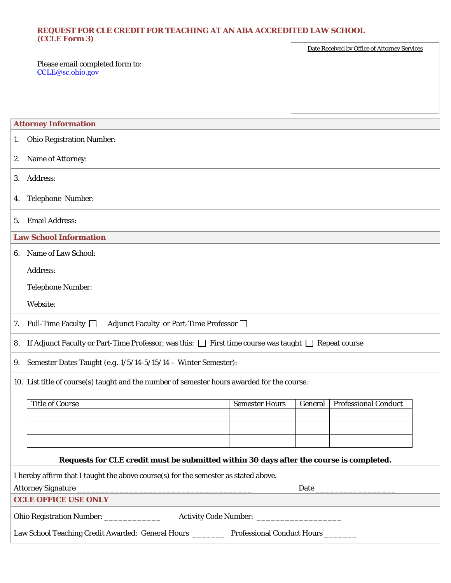## **REQUEST FOR CLE CREDIT FOR TEACHING AT AN ABA ACCREDITED LAW SCHOOL (CCLE Form 3)**   $\overline{r}$

|                                                     | Date Received by Office of Attorney Services |
|-----------------------------------------------------|----------------------------------------------|
| Please email completed form to:<br>CCLE@sc.ohio.gov |                                              |
|                                                     |                                              |
|                                                     |                                              |
|                                                     |                                              |
|                                                     |                                              |
| <b>Attorney Information</b>                         |                                              |

|                                                                                                                     | <b>Ohio Registration Number:</b><br>1. |  |  |  |                       |         |                             |  |  |
|---------------------------------------------------------------------------------------------------------------------|----------------------------------------|--|--|--|-----------------------|---------|-----------------------------|--|--|
| 2.                                                                                                                  | Name of Attorney:                      |  |  |  |                       |         |                             |  |  |
| Address:<br>3.                                                                                                      |                                        |  |  |  |                       |         |                             |  |  |
| 4.                                                                                                                  | Telephone Number:                      |  |  |  |                       |         |                             |  |  |
| <b>Email Address:</b><br>5.                                                                                         |                                        |  |  |  |                       |         |                             |  |  |
| <b>Law School Information</b>                                                                                       |                                        |  |  |  |                       |         |                             |  |  |
| Name of Law School:<br>6.                                                                                           |                                        |  |  |  |                       |         |                             |  |  |
| Address:                                                                                                            |                                        |  |  |  |                       |         |                             |  |  |
|                                                                                                                     | <b>Telephone Number:</b>               |  |  |  |                       |         |                             |  |  |
| Website:                                                                                                            |                                        |  |  |  |                       |         |                             |  |  |
| Adjunct Faculty or Part-Time Professor<br>Full-Time Faculty $\Box$<br>7.                                            |                                        |  |  |  |                       |         |                             |  |  |
| If Adjunct Faculty or Part-Time Professor, was this: $\Box$ First time course was taught $\Box$ Repeat course<br>8. |                                        |  |  |  |                       |         |                             |  |  |
| Semester Dates Taught (e.g. 1/5/14-5/15/14 - Winter Semester):<br>9.                                                |                                        |  |  |  |                       |         |                             |  |  |
| 10. List title of course(s) taught and the number of semester hours awarded for the course.                         |                                        |  |  |  |                       |         |                             |  |  |
|                                                                                                                     | <b>Title of Course</b>                 |  |  |  | <b>Semester Hours</b> | General | <b>Professional Conduct</b> |  |  |
|                                                                                                                     |                                        |  |  |  |                       |         |                             |  |  |
|                                                                                                                     |                                        |  |  |  |                       |         |                             |  |  |
|                                                                                                                     |                                        |  |  |  |                       |         |                             |  |  |
| Requests for CLE credit must be submitted within 30 days after the course is completed.                             |                                        |  |  |  |                       |         |                             |  |  |
| I hereby affirm that I taught the above course(s) for the semester as stated above.                                 |                                        |  |  |  |                       |         |                             |  |  |
|                                                                                                                     |                                        |  |  |  |                       |         |                             |  |  |
| <b>CCLE OFFICE USE ONLY</b>                                                                                         |                                        |  |  |  |                       |         |                             |  |  |
|                                                                                                                     |                                        |  |  |  |                       |         |                             |  |  |
| Law School Teaching Credit Awarded: General Hours ________ Professional Conduct Hours _______                       |                                        |  |  |  |                       |         |                             |  |  |